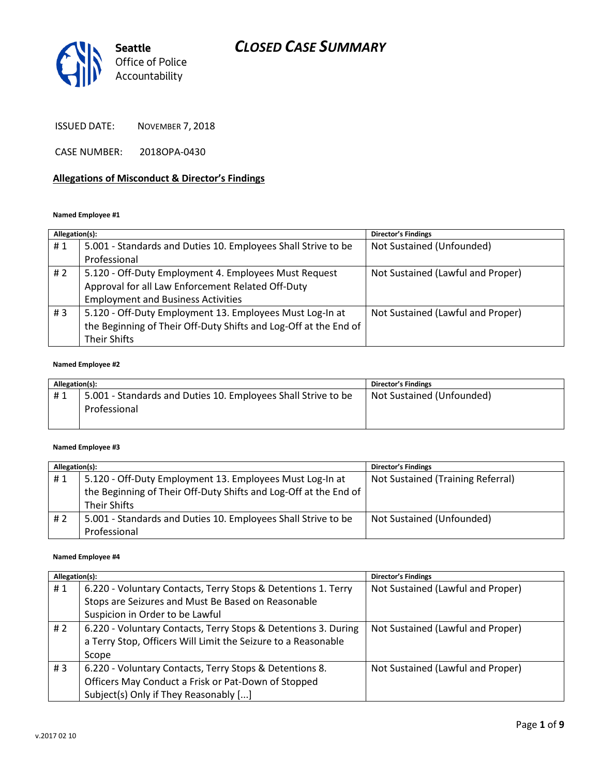

ISSUED DATE: NOVEMBER 7, 2018

CASE NUMBER: 2018OPA-0430

#### **Allegations of Misconduct & Director's Findings**

#### **Named Employee #1**

| Allegation(s): |                                                                  | <b>Director's Findings</b>        |
|----------------|------------------------------------------------------------------|-----------------------------------|
| #1             | 5.001 - Standards and Duties 10. Employees Shall Strive to be    | Not Sustained (Unfounded)         |
|                | Professional                                                     |                                   |
| # $2$          | 5.120 - Off-Duty Employment 4. Employees Must Request            | Not Sustained (Lawful and Proper) |
|                | Approval for all Law Enforcement Related Off-Duty                |                                   |
|                | <b>Employment and Business Activities</b>                        |                                   |
| #3             | 5.120 - Off-Duty Employment 13. Employees Must Log-In at         | Not Sustained (Lawful and Proper) |
|                | the Beginning of Their Off-Duty Shifts and Log-Off at the End of |                                   |
|                | Their Shifts                                                     |                                   |

#### **Named Employee #2**

| Allegation(s): |                                                                               | <b>Director's Findings</b> |
|----------------|-------------------------------------------------------------------------------|----------------------------|
| #1             | 5.001 - Standards and Duties 10. Employees Shall Strive to be<br>Professional | Not Sustained (Unfounded)  |

#### **Named Employee #3**

| Allegation(s): |                                                                                  | Director's Findings               |
|----------------|----------------------------------------------------------------------------------|-----------------------------------|
| #1             | 5.120 - Off-Duty Employment 13. Employees Must Log-In at                         | Not Sustained (Training Referral) |
|                | the Beginning of Their Off-Duty Shifts and Log-Off at the End of<br>Their Shifts |                                   |
| # 2            | 5.001 - Standards and Duties 10. Employees Shall Strive to be<br>Professional    | Not Sustained (Unfounded)         |

#### **Named Employee #4**

| Allegation(s): |                                                                | Director's Findings               |
|----------------|----------------------------------------------------------------|-----------------------------------|
| #1             | 6.220 - Voluntary Contacts, Terry Stops & Detentions 1. Terry  | Not Sustained (Lawful and Proper) |
|                | Stops are Seizures and Must Be Based on Reasonable             |                                   |
|                | Suspicion in Order to be Lawful                                |                                   |
| # $2$          | 6.220 - Voluntary Contacts, Terry Stops & Detentions 3. During | Not Sustained (Lawful and Proper) |
|                | a Terry Stop, Officers Will Limit the Seizure to a Reasonable  |                                   |
|                | Scope                                                          |                                   |
| #3             | 6.220 - Voluntary Contacts, Terry Stops & Detentions 8.        | Not Sustained (Lawful and Proper) |
|                | Officers May Conduct a Frisk or Pat-Down of Stopped            |                                   |
|                | Subject(s) Only if They Reasonably []                          |                                   |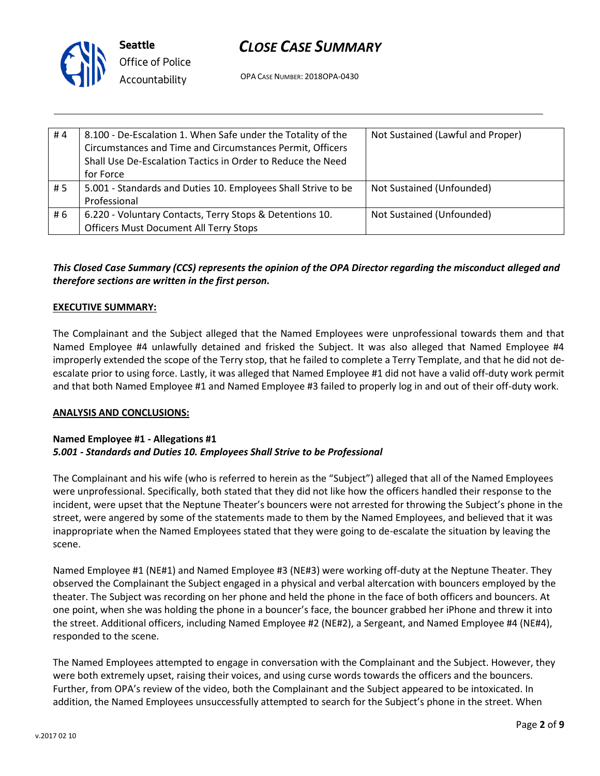

**Seattle** *Office of Police Accountability*

OPA CASE NUMBER: 2018OPA-0430

| #4  | 8.100 - De-Escalation 1. When Safe under the Totality of the<br>Circumstances and Time and Circumstances Permit, Officers<br>Shall Use De-Escalation Tactics in Order to Reduce the Need<br>for Force | Not Sustained (Lawful and Proper) |
|-----|-------------------------------------------------------------------------------------------------------------------------------------------------------------------------------------------------------|-----------------------------------|
| #5  | 5.001 - Standards and Duties 10. Employees Shall Strive to be                                                                                                                                         | Not Sustained (Unfounded)         |
|     | Professional                                                                                                                                                                                          |                                   |
| # 6 | 6.220 - Voluntary Contacts, Terry Stops & Detentions 10.                                                                                                                                              | Not Sustained (Unfounded)         |
|     | <b>Officers Must Document All Terry Stops</b>                                                                                                                                                         |                                   |

## *This Closed Case Summary (CCS) represents the opinion of the OPA Director regarding the misconduct alleged and therefore sections are written in the first person.*

#### **EXECUTIVE SUMMARY:**

The Complainant and the Subject alleged that the Named Employees were unprofessional towards them and that Named Employee #4 unlawfully detained and frisked the Subject. It was also alleged that Named Employee #4 improperly extended the scope of the Terry stop, that he failed to complete a Terry Template, and that he did not deescalate prior to using force. Lastly, it was alleged that Named Employee #1 did not have a valid off-duty work permit and that both Named Employee #1 and Named Employee #3 failed to properly log in and out of their off-duty work.

#### **ANALYSIS AND CONCLUSIONS:**

#### **Named Employee #1 - Allegations #1** *5.001 - Standards and Duties 10. Employees Shall Strive to be Professional*

The Complainant and his wife (who is referred to herein as the "Subject") alleged that all of the Named Employees were unprofessional. Specifically, both stated that they did not like how the officers handled their response to the incident, were upset that the Neptune Theater's bouncers were not arrested for throwing the Subject's phone in the street, were angered by some of the statements made to them by the Named Employees, and believed that it was inappropriate when the Named Employees stated that they were going to de-escalate the situation by leaving the scene.

Named Employee #1 (NE#1) and Named Employee #3 (NE#3) were working off-duty at the Neptune Theater. They observed the Complainant the Subject engaged in a physical and verbal altercation with bouncers employed by the theater. The Subject was recording on her phone and held the phone in the face of both officers and bouncers. At one point, when she was holding the phone in a bouncer's face, the bouncer grabbed her iPhone and threw it into the street. Additional officers, including Named Employee #2 (NE#2), a Sergeant, and Named Employee #4 (NE#4), responded to the scene.

The Named Employees attempted to engage in conversation with the Complainant and the Subject. However, they were both extremely upset, raising their voices, and using curse words towards the officers and the bouncers. Further, from OPA's review of the video, both the Complainant and the Subject appeared to be intoxicated. In addition, the Named Employees unsuccessfully attempted to search for the Subject's phone in the street. When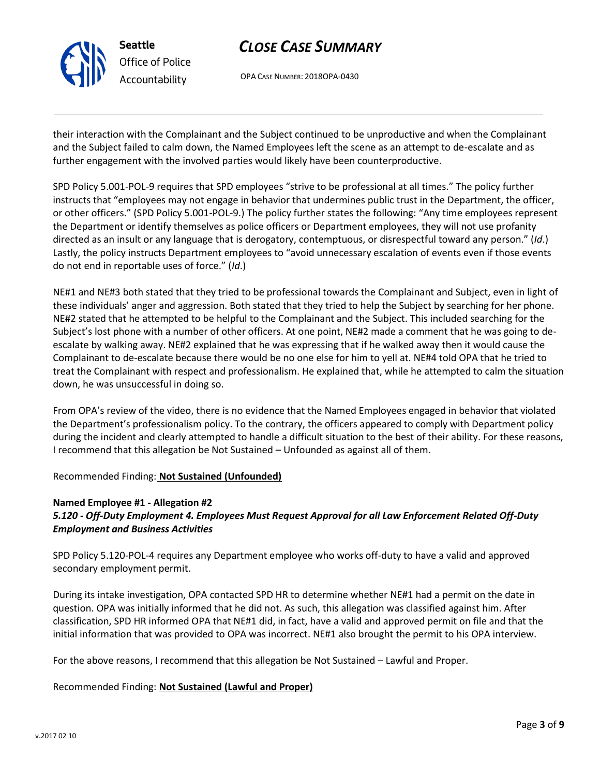

OPA CASE NUMBER: 2018OPA-0430

their interaction with the Complainant and the Subject continued to be unproductive and when the Complainant and the Subject failed to calm down, the Named Employees left the scene as an attempt to de-escalate and as further engagement with the involved parties would likely have been counterproductive.

SPD Policy 5.001-POL-9 requires that SPD employees "strive to be professional at all times." The policy further instructs that "employees may not engage in behavior that undermines public trust in the Department, the officer, or other officers." (SPD Policy 5.001-POL-9.) The policy further states the following: "Any time employees represent the Department or identify themselves as police officers or Department employees, they will not use profanity directed as an insult or any language that is derogatory, contemptuous, or disrespectful toward any person." (*Id*.) Lastly, the policy instructs Department employees to "avoid unnecessary escalation of events even if those events do not end in reportable uses of force." (*Id*.)

NE#1 and NE#3 both stated that they tried to be professional towards the Complainant and Subject, even in light of these individuals' anger and aggression. Both stated that they tried to help the Subject by searching for her phone. NE#2 stated that he attempted to be helpful to the Complainant and the Subject. This included searching for the Subject's lost phone with a number of other officers. At one point, NE#2 made a comment that he was going to deescalate by walking away. NE#2 explained that he was expressing that if he walked away then it would cause the Complainant to de-escalate because there would be no one else for him to yell at. NE#4 told OPA that he tried to treat the Complainant with respect and professionalism. He explained that, while he attempted to calm the situation down, he was unsuccessful in doing so.

From OPA's review of the video, there is no evidence that the Named Employees engaged in behavior that violated the Department's professionalism policy. To the contrary, the officers appeared to comply with Department policy during the incident and clearly attempted to handle a difficult situation to the best of their ability. For these reasons, I recommend that this allegation be Not Sustained – Unfounded as against all of them.

Recommended Finding: **Not Sustained (Unfounded)**

### **Named Employee #1 - Allegation #2** *5.120 - Off-Duty Employment 4. Employees Must Request Approval for all Law Enforcement Related Off-Duty Employment and Business Activities*

SPD Policy 5.120-POL-4 requires any Department employee who works off-duty to have a valid and approved secondary employment permit.

During its intake investigation, OPA contacted SPD HR to determine whether NE#1 had a permit on the date in question. OPA was initially informed that he did not. As such, this allegation was classified against him. After classification, SPD HR informed OPA that NE#1 did, in fact, have a valid and approved permit on file and that the initial information that was provided to OPA was incorrect. NE#1 also brought the permit to his OPA interview.

For the above reasons, I recommend that this allegation be Not Sustained – Lawful and Proper.

### Recommended Finding: **Not Sustained (Lawful and Proper)**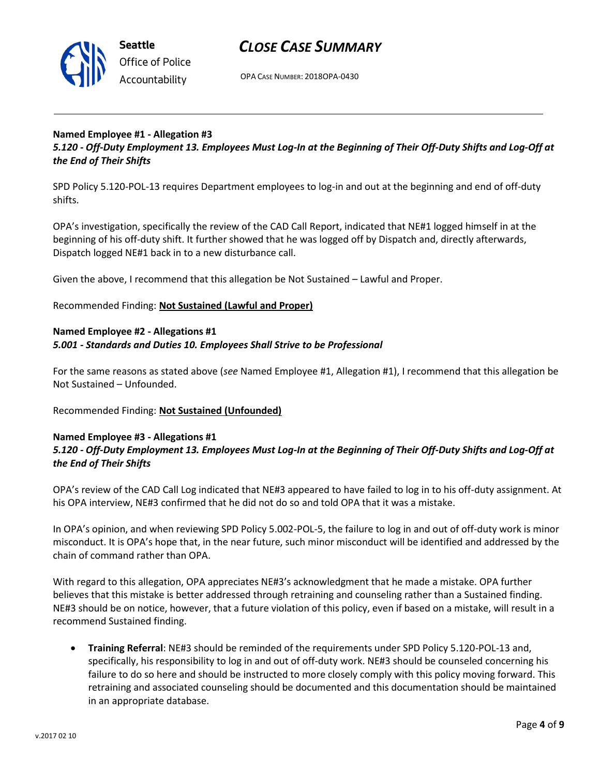

OPA CASE NUMBER: 2018OPA-0430

### **Named Employee #1 - Allegation #3** *5.120 - Off-Duty Employment 13. Employees Must Log-In at the Beginning of Their Off-Duty Shifts and Log-Off at the End of Their Shifts*

SPD Policy 5.120-POL-13 requires Department employees to log-in and out at the beginning and end of off-duty shifts.

OPA's investigation, specifically the review of the CAD Call Report, indicated that NE#1 logged himself in at the beginning of his off-duty shift. It further showed that he was logged off by Dispatch and, directly afterwards, Dispatch logged NE#1 back in to a new disturbance call.

Given the above, I recommend that this allegation be Not Sustained – Lawful and Proper.

Recommended Finding: **Not Sustained (Lawful and Proper)**

#### **Named Employee #2 - Allegations #1** *5.001 - Standards and Duties 10. Employees Shall Strive to be Professional*

For the same reasons as stated above (*see* Named Employee #1, Allegation #1), I recommend that this allegation be Not Sustained – Unfounded.

Recommended Finding: **Not Sustained (Unfounded)**

#### **Named Employee #3 - Allegations #1** *5.120 - Off-Duty Employment 13. Employees Must Log-In at the Beginning of Their Off-Duty Shifts and Log-Off at the End of Their Shifts*

OPA's review of the CAD Call Log indicated that NE#3 appeared to have failed to log in to his off-duty assignment. At his OPA interview, NE#3 confirmed that he did not do so and told OPA that it was a mistake.

In OPA's opinion, and when reviewing SPD Policy 5.002-POL-5, the failure to log in and out of off-duty work is minor misconduct. It is OPA's hope that, in the near future, such minor misconduct will be identified and addressed by the chain of command rather than OPA.

With regard to this allegation, OPA appreciates NE#3's acknowledgment that he made a mistake. OPA further believes that this mistake is better addressed through retraining and counseling rather than a Sustained finding. NE#3 should be on notice, however, that a future violation of this policy, even if based on a mistake, will result in a recommend Sustained finding.

• **Training Referral**: NE#3 should be reminded of the requirements under SPD Policy 5.120-POL-13 and, specifically, his responsibility to log in and out of off-duty work. NE#3 should be counseled concerning his failure to do so here and should be instructed to more closely comply with this policy moving forward. This retraining and associated counseling should be documented and this documentation should be maintained in an appropriate database.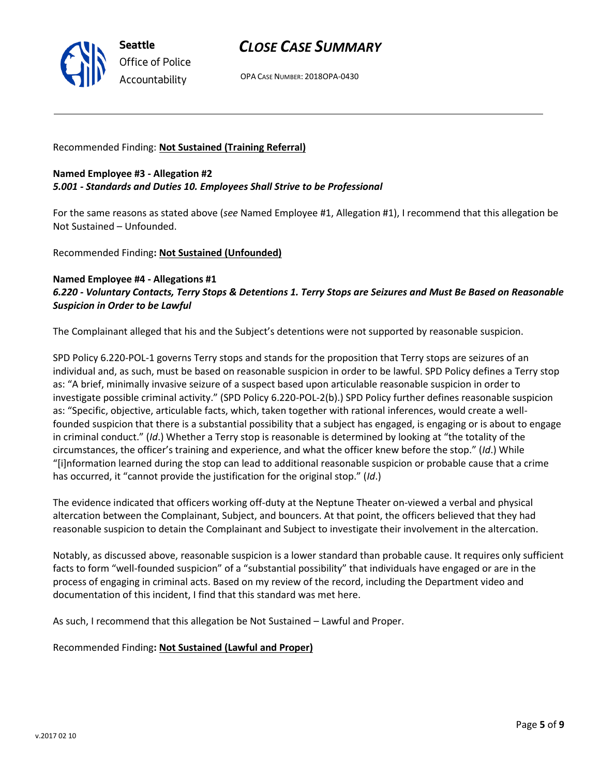

OPA CASE NUMBER: 2018OPA-0430

Recommended Finding: **Not Sustained (Training Referral)**

### **Named Employee #3 - Allegation #2** *5.001 - Standards and Duties 10. Employees Shall Strive to be Professional*

For the same reasons as stated above (*see* Named Employee #1, Allegation #1), I recommend that this allegation be Not Sustained – Unfounded.

Recommended Finding**: Not Sustained (Unfounded)**

#### **Named Employee #4 - Allegations #1** *6.220 - Voluntary Contacts, Terry Stops & Detentions 1. Terry Stops are Seizures and Must Be Based on Reasonable Suspicion in Order to be Lawful*

The Complainant alleged that his and the Subject's detentions were not supported by reasonable suspicion.

SPD Policy 6.220-POL-1 governs Terry stops and stands for the proposition that Terry stops are seizures of an individual and, as such, must be based on reasonable suspicion in order to be lawful. SPD Policy defines a Terry stop as: "A brief, minimally invasive seizure of a suspect based upon articulable reasonable suspicion in order to investigate possible criminal activity." (SPD Policy 6.220-POL-2(b).) SPD Policy further defines reasonable suspicion as: "Specific, objective, articulable facts, which, taken together with rational inferences, would create a wellfounded suspicion that there is a substantial possibility that a subject has engaged, is engaging or is about to engage in criminal conduct." (*Id*.) Whether a Terry stop is reasonable is determined by looking at "the totality of the circumstances, the officer's training and experience, and what the officer knew before the stop." (*Id*.) While "[i]nformation learned during the stop can lead to additional reasonable suspicion or probable cause that a crime has occurred, it "cannot provide the justification for the original stop." (*Id*.)

The evidence indicated that officers working off-duty at the Neptune Theater on-viewed a verbal and physical altercation between the Complainant, Subject, and bouncers. At that point, the officers believed that they had reasonable suspicion to detain the Complainant and Subject to investigate their involvement in the altercation.

Notably, as discussed above, reasonable suspicion is a lower standard than probable cause. It requires only sufficient facts to form "well-founded suspicion" of a "substantial possibility" that individuals have engaged or are in the process of engaging in criminal acts. Based on my review of the record, including the Department video and documentation of this incident, I find that this standard was met here.

As such, I recommend that this allegation be Not Sustained – Lawful and Proper.

Recommended Finding**: Not Sustained (Lawful and Proper)**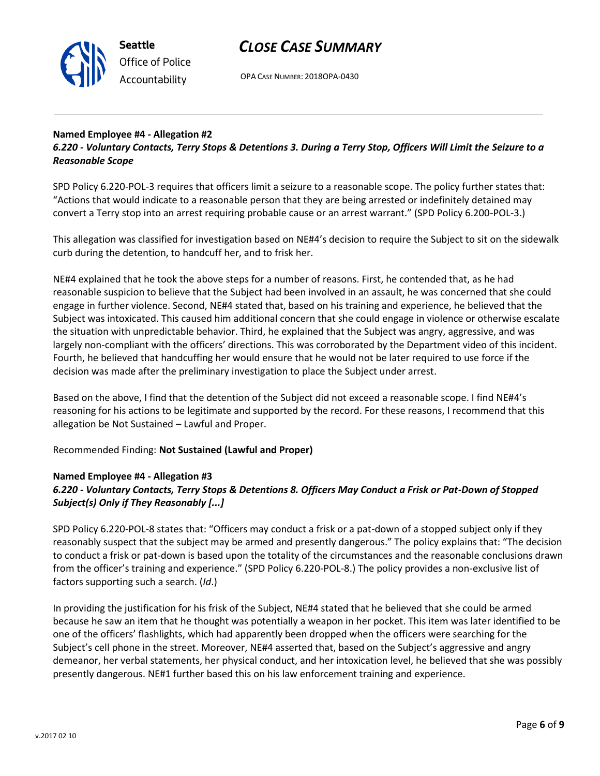

OPA CASE NUMBER: 2018OPA-0430

## **Named Employee #4 - Allegation #2**

*6.220 - Voluntary Contacts, Terry Stops & Detentions 3. During a Terry Stop, Officers Will Limit the Seizure to a Reasonable Scope*

SPD Policy 6.220-POL-3 requires that officers limit a seizure to a reasonable scope. The policy further states that: "Actions that would indicate to a reasonable person that they are being arrested or indefinitely detained may convert a Terry stop into an arrest requiring probable cause or an arrest warrant." (SPD Policy 6.200-POL-3.)

This allegation was classified for investigation based on NE#4's decision to require the Subject to sit on the sidewalk curb during the detention, to handcuff her, and to frisk her.

NE#4 explained that he took the above steps for a number of reasons. First, he contended that, as he had reasonable suspicion to believe that the Subject had been involved in an assault, he was concerned that she could engage in further violence. Second, NE#4 stated that, based on his training and experience, he believed that the Subject was intoxicated. This caused him additional concern that she could engage in violence or otherwise escalate the situation with unpredictable behavior. Third, he explained that the Subject was angry, aggressive, and was largely non-compliant with the officers' directions. This was corroborated by the Department video of this incident. Fourth, he believed that handcuffing her would ensure that he would not be later required to use force if the decision was made after the preliminary investigation to place the Subject under arrest.

Based on the above, I find that the detention of the Subject did not exceed a reasonable scope. I find NE#4's reasoning for his actions to be legitimate and supported by the record. For these reasons, I recommend that this allegation be Not Sustained – Lawful and Proper.

Recommended Finding: **Not Sustained (Lawful and Proper)**

### **Named Employee #4 - Allegation #3** *6.220 - Voluntary Contacts, Terry Stops & Detentions 8. Officers May Conduct a Frisk or Pat-Down of Stopped Subject(s) Only if They Reasonably [...]*

SPD Policy 6.220-POL-8 states that: "Officers may conduct a frisk or a pat-down of a stopped subject only if they reasonably suspect that the subject may be armed and presently dangerous." The policy explains that: "The decision to conduct a frisk or pat-down is based upon the totality of the circumstances and the reasonable conclusions drawn from the officer's training and experience." (SPD Policy 6.220-POL-8.) The policy provides a non-exclusive list of factors supporting such a search. (*Id*.)

In providing the justification for his frisk of the Subject, NE#4 stated that he believed that she could be armed because he saw an item that he thought was potentially a weapon in her pocket. This item was later identified to be one of the officers' flashlights, which had apparently been dropped when the officers were searching for the Subject's cell phone in the street. Moreover, NE#4 asserted that, based on the Subject's aggressive and angry demeanor, her verbal statements, her physical conduct, and her intoxication level, he believed that she was possibly presently dangerous. NE#1 further based this on his law enforcement training and experience.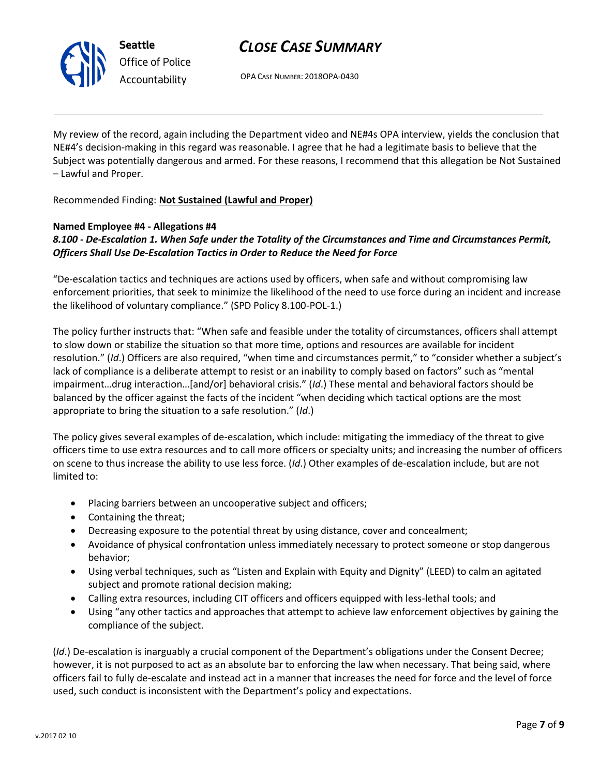

OPA CASE NUMBER: 2018OPA-0430

My review of the record, again including the Department video and NE#4s OPA interview, yields the conclusion that NE#4's decision-making in this regard was reasonable. I agree that he had a legitimate basis to believe that the Subject was potentially dangerous and armed. For these reasons, I recommend that this allegation be Not Sustained – Lawful and Proper.

### Recommended Finding: **Not Sustained (Lawful and Proper)**

### **Named Employee #4 - Allegations #4**

## *8.100 - De-Escalation 1. When Safe under the Totality of the Circumstances and Time and Circumstances Permit, Officers Shall Use De-Escalation Tactics in Order to Reduce the Need for Force*

"De-escalation tactics and techniques are actions used by officers, when safe and without compromising law enforcement priorities, that seek to minimize the likelihood of the need to use force during an incident and increase the likelihood of voluntary compliance." (SPD Policy 8.100-POL-1.)

The policy further instructs that: "When safe and feasible under the totality of circumstances, officers shall attempt to slow down or stabilize the situation so that more time, options and resources are available for incident resolution." (*Id*.) Officers are also required, "when time and circumstances permit," to "consider whether a subject's lack of compliance is a deliberate attempt to resist or an inability to comply based on factors" such as "mental impairment…drug interaction…[and/or] behavioral crisis." (*Id*.) These mental and behavioral factors should be balanced by the officer against the facts of the incident "when deciding which tactical options are the most appropriate to bring the situation to a safe resolution." (*Id*.)

The policy gives several examples of de-escalation, which include: mitigating the immediacy of the threat to give officers time to use extra resources and to call more officers or specialty units; and increasing the number of officers on scene to thus increase the ability to use less force. (*Id*.) Other examples of de-escalation include, but are not limited to:

- Placing barriers between an uncooperative subject and officers;
- Containing the threat;
- Decreasing exposure to the potential threat by using distance, cover and concealment;
- Avoidance of physical confrontation unless immediately necessary to protect someone or stop dangerous behavior;
- Using verbal techniques, such as "Listen and Explain with Equity and Dignity" (LEED) to calm an agitated subject and promote rational decision making;
- Calling extra resources, including CIT officers and officers equipped with less-lethal tools; and
- Using "any other tactics and approaches that attempt to achieve law enforcement objectives by gaining the compliance of the subject.

(*Id*.) De-escalation is inarguably a crucial component of the Department's obligations under the Consent Decree; however, it is not purposed to act as an absolute bar to enforcing the law when necessary. That being said, where officers fail to fully de-escalate and instead act in a manner that increases the need for force and the level of force used, such conduct is inconsistent with the Department's policy and expectations.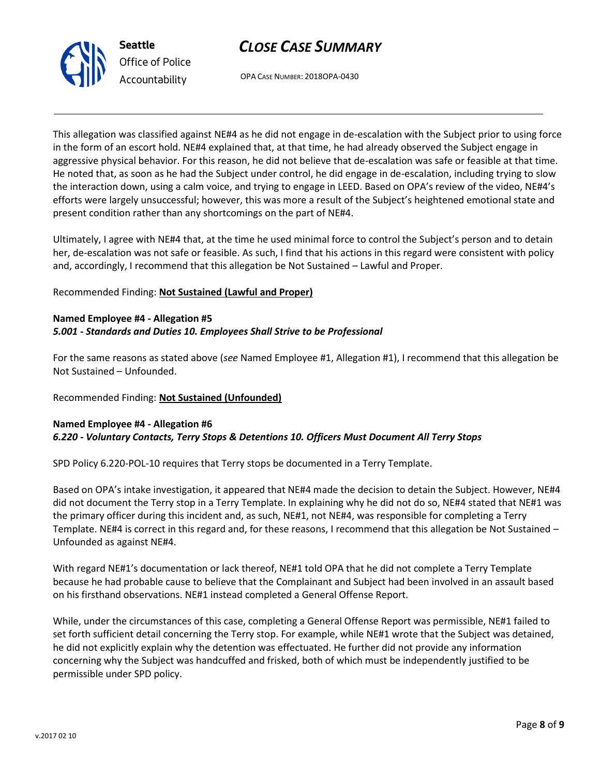

OPA CASE NUMBER: 2018OPA-0430

This allegation was classified against NE#4 as he did not engage in de-escalation with the Subject prior to using force in the form of an escort hold. NE#4 explained that, at that time, he had already observed the Subject engage in aggressive physical behavior. For this reason, he did not believe that de-escalation was safe or feasible at that time. He noted that, as soon as he had the Subject under control, he did engage in de-escalation, including trying to slow the interaction down, using a calm voice, and trying to engage in LEED. Based on OPA's review of the video, NE#4's efforts were largely unsuccessful; however, this was more a result of the Subject's heightened emotional state and present condition rather than any shortcomings on the part of NE#4.

Ultimately, I agree with NE#4 that, at the time he used minimal force to control the Subject's person and to detain her, de-escalation was not safe or feasible. As such, I find that his actions in this regard were consistent with policy and, accordingly, I recommend that this allegation be Not Sustained – Lawful and Proper.

#### Recommended Finding: **Not Sustained (Lawful and Proper)**

### **Named Employee #4 - Allegation #5** *5.001 - Standards and Duties 10. Employees Shall Strive to be Professional*

For the same reasons as stated above (*see* Named Employee #1, Allegation #1), I recommend that this allegation be Not Sustained – Unfounded.

#### Recommended Finding: **Not Sustained (Unfounded)**

#### **Named Employee #4 - Allegation #6** *6.220 - Voluntary Contacts, Terry Stops & Detentions 10. Officers Must Document All Terry Stops*

SPD Policy 6.220-POL-10 requires that Terry stops be documented in a Terry Template.

Based on OPA's intake investigation, it appeared that NE#4 made the decision to detain the Subject. However, NE#4 did not document the Terry stop in a Terry Template. In explaining why he did not do so, NE#4 stated that NE#1 was the primary officer during this incident and, as such, NE#1, not NE#4, was responsible for completing a Terry Template. NE#4 is correct in this regard and, for these reasons, I recommend that this allegation be Not Sustained – Unfounded as against NE#4.

With regard NE#1's documentation or lack thereof, NE#1 told OPA that he did not complete a Terry Template because he had probable cause to believe that the Complainant and Subject had been involved in an assault based on his firsthand observations. NE#1 instead completed a General Offense Report.

While, under the circumstances of this case, completing a General Offense Report was permissible, NE#1 failed to set forth sufficient detail concerning the Terry stop. For example, while NE#1 wrote that the Subject was detained, he did not explicitly explain why the detention was effectuated. He further did not provide any information concerning why the Subject was handcuffed and frisked, both of which must be independently justified to be permissible under SPD policy.